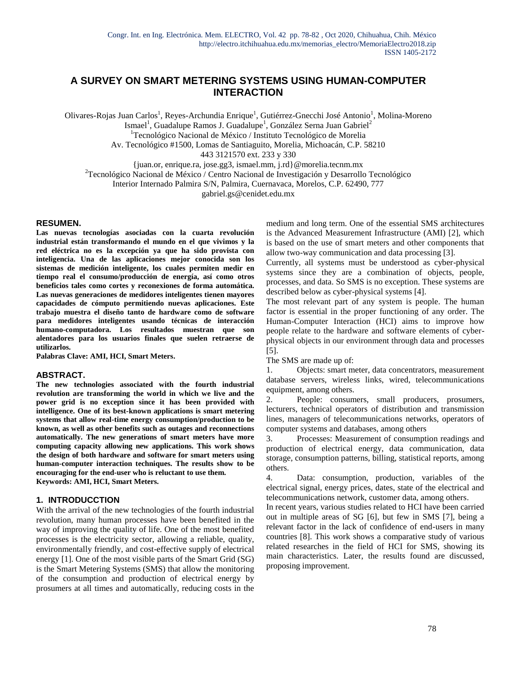# **A SURVEY ON SMART METERING SYSTEMS USING HUMAN-COMPUTER INTERACTION**

Olivares-Rojas Juan Carlos<sup>1</sup>, Reyes-Archundia Enrique<sup>1</sup>, Gutiérrez-Gnecchi José Antonio<sup>1</sup>, Molina-Moreno

Ismael<sup>1</sup>, Guadalupe Ramos J. Guadalupe<sup>1</sup>, González Serna Juan Gabriel<sup>2</sup>

<sup>1</sup>Tecnológico Nacional de México / Instituto Tecnológico de Morelia

Av. Tecnológico #1500, Lomas de Santiaguito, Morelia, Michoacán, C.P. 58210

443 3121570 ext. 233 y 330

{juan.or, enrique.ra, jose.gg3, ismael.mm, j.rd}@morelia.tecnm.mx

 $2$ Tecnológico Nacional de México / Centro Nacional de Investigación y Desarrollo Tecnológico

Interior Internado Palmira S/N, Palmira, Cuernavaca, Morelos, C.P. 62490, 777

gabriel.gs@cenidet.edu.mx

#### **RESUMEN.**

**Las nuevas tecnologías asociadas con la cuarta revolución industrial están transformando el mundo en el que vivimos y la red eléctrica no es la excepción ya que ha sido provista con inteligencia. Una de las aplicaciones mejor conocida son los sistemas de medición inteligente, los cuales permiten medir en tiempo real el consumo/producción de energía, así como otros beneficios tales como cortes y reconexiones de forma automática. Las nuevas generaciones de medidores inteligentes tienen mayores capacidades de cómputo permitiendo nuevas aplicaciones. Este trabajo muestra el diseño tanto de hardware como de software para medidores inteligentes usando técnicas de interacción humano-computadora. Los resultados muestran que son alentadores para los usuarios finales que suelen retraerse de utilizarlos.**

**Palabras Clave: AMI, HCI, Smart Meters.**

#### **ABSTRACT.**

**The new technologies associated with the fourth industrial revolution are transforming the world in which we live and the power grid is no exception since it has been provided with intelligence. One of its best-known applications is smart metering systems that allow real-time energy consumption/production to be known, as well as other benefits such as outages and reconnections automatically. The new generations of smart meters have more computing capacity allowing new applications. This work shows the design of both hardware and software for smart meters using human-computer interaction techniques. The results show to be encouraging for the end-user who is reluctant to use them. Keywords: AMI, HCI, Smart Meters.**

#### **1. INTRODUCCTION**

With the arrival of the new technologies of the fourth industrial revolution, many human processes have been benefited in the way of improving the quality of life. One of the most benefited processes is the electricity sector, allowing a reliable, quality, environmentally friendly, and cost-effective supply of electrical energy [1]. One of the most visible parts of the Smart Grid (SG) is the Smart Metering Systems (SMS) that allow the monitoring of the consumption and production of electrical energy by prosumers at all times and automatically, reducing costs in the medium and long term. One of the essential SMS architectures is the Advanced Measurement Infrastructure (AMI) [2], which is based on the use of smart meters and other components that allow two-way communication and data processing [3].

Currently, all systems must be understood as cyber-physical systems since they are a combination of objects, people, processes, and data. So SMS is no exception. These systems are described below as cyber-physical systems [4].

The most relevant part of any system is people. The human factor is essential in the proper functioning of any order. The Human-Computer Interaction (HCI) aims to improve how people relate to the hardware and software elements of cyberphysical objects in our environment through data and processes [5].

The SMS are made up of:

1. Objects: smart meter, data concentrators, measurement database servers, wireless links, wired, telecommunications equipment, among others.

2. People: consumers, small producers, prosumers, lecturers, technical operators of distribution and transmission lines, managers of telecommunications networks, operators of computer systems and databases, among others

3. Processes: Measurement of consumption readings and production of electrical energy, data communication, data storage, consumption patterns, billing, statistical reports, among others.

4. Data: consumption, production, variables of the electrical signal, energy prices, dates, state of the electrical and telecommunications network, customer data, among others.

In recent years, various studies related to HCI have been carried out in multiple areas of SG [6], but few in SMS [7], being a relevant factor in the lack of confidence of end-users in many countries [8]. This work shows a comparative study of various related researches in the field of HCI for SMS, showing its main characteristics. Later, the results found are discussed, proposing improvement.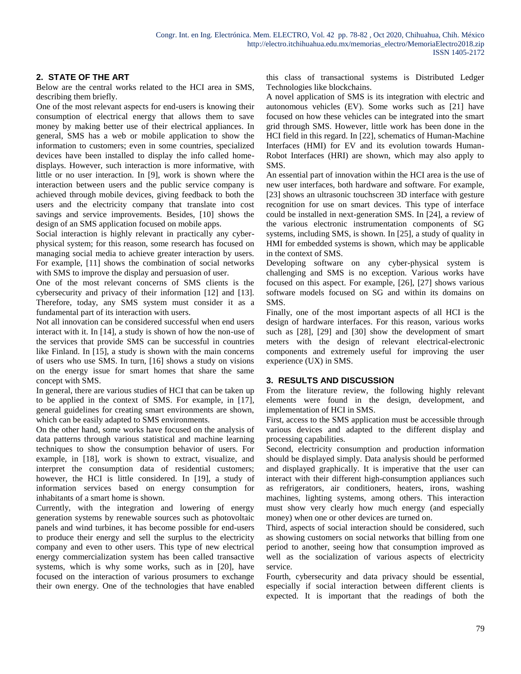## **2. STATE OF THE ART**

Below are the central works related to the HCI area in SMS, describing them briefly.

One of the most relevant aspects for end-users is knowing their consumption of electrical energy that allows them to save money by making better use of their electrical appliances. In general, SMS has a web or mobile application to show the information to customers; even in some countries, specialized devices have been installed to display the info called homedisplays. However, such interaction is more informative, with little or no user interaction. In [9], work is shown where the interaction between users and the public service company is achieved through mobile devices, giving feedback to both the users and the electricity company that translate into cost savings and service improvements. Besides, [10] shows the design of an SMS application focused on mobile apps.

Social interaction is highly relevant in practically any cyberphysical system; for this reason, some research has focused on managing social media to achieve greater interaction by users. For example, [11] shows the combination of social networks with SMS to improve the display and persuasion of user.

One of the most relevant concerns of SMS clients is the cybersecurity and privacy of their information [12] and [13]. Therefore, today, any SMS system must consider it as a fundamental part of its interaction with users.

Not all innovation can be considered successful when end users interact with it. In [14], a study is shown of how the non-use of the services that provide SMS can be successful in countries like Finland. In [15], a study is shown with the main concerns of users who use SMS. In turn, [16] shows a study on visions on the energy issue for smart homes that share the same concept with SMS.

In general, there are various studies of HCI that can be taken up to be applied in the context of SMS. For example, in [17], general guidelines for creating smart environments are shown, which can be easily adapted to SMS environments.

On the other hand, some works have focused on the analysis of data patterns through various statistical and machine learning techniques to show the consumption behavior of users. For example, in [18], work is shown to extract, visualize, and interpret the consumption data of residential customers; however, the HCI is little considered. In [19], a study of information services based on energy consumption for inhabitants of a smart home is shown.

Currently, with the integration and lowering of energy generation systems by renewable sources such as photovoltaic panels and wind turbines, it has become possible for end-users to produce their energy and sell the surplus to the electricity company and even to other users. This type of new electrical energy commercialization system has been called transactive systems, which is why some works, such as in [20], have focused on the interaction of various prosumers to exchange their own energy. One of the technologies that have enabled this class of transactional systems is Distributed Ledger Technologies like blockchains.

A novel application of SMS is its integration with electric and autonomous vehicles (EV). Some works such as [21] have focused on how these vehicles can be integrated into the smart grid through SMS. However, little work has been done in the HCI field in this regard. In [22], schematics of Human-Machine Interfaces (HMI) for EV and its evolution towards Human-Robot Interfaces (HRI) are shown, which may also apply to SMS.

An essential part of innovation within the HCI area is the use of new user interfaces, both hardware and software. For example, [23] shows an ultrasonic touchscreen 3D interface with gesture recognition for use on smart devices. This type of interface could be installed in next-generation SMS. In [24], a review of the various electronic instrumentation components of SG systems, including SMS, is shown. In [25], a study of quality in HMI for embedded systems is shown, which may be applicable in the context of SMS.

Developing software on any cyber-physical system is challenging and SMS is no exception. Various works have focused on this aspect. For example, [26], [27] shows various software models focused on SG and within its domains on SMS.

Finally, one of the most important aspects of all HCI is the design of hardware interfaces. For this reason, various works such as [28], [29] and [30] show the development of smart meters with the design of relevant electrical-electronic components and extremely useful for improving the user experience (UX) in SMS.

### **3. RESULTS AND DISCUSSION**

From the literature review, the following highly relevant elements were found in the design, development, and implementation of HCI in SMS.

First, access to the SMS application must be accessible through various devices and adapted to the different display and processing capabilities.

Second, electricity consumption and production information should be displayed simply. Data analysis should be performed and displayed graphically. It is imperative that the user can interact with their different high-consumption appliances such as refrigerators, air conditioners, heaters, irons, washing machines, lighting systems, among others. This interaction must show very clearly how much energy (and especially money) when one or other devices are turned on.

Third, aspects of social interaction should be considered, such as showing customers on social networks that billing from one period to another, seeing how that consumption improved as well as the socialization of various aspects of electricity service.

Fourth, cybersecurity and data privacy should be essential, especially if social interaction between different clients is expected. It is important that the readings of both the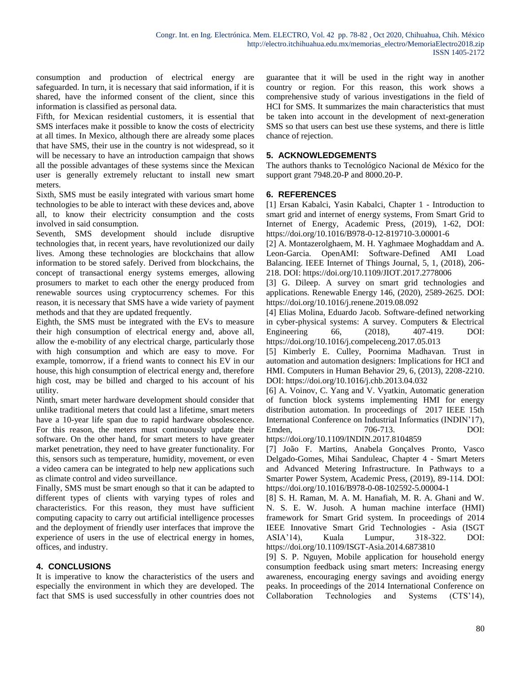consumption and production of electrical energy are safeguarded. In turn, it is necessary that said information, if it is shared, have the informed consent of the client, since this information is classified as personal data.

Fifth, for Mexican residential customers, it is essential that SMS interfaces make it possible to know the costs of electricity at all times. In Mexico, although there are already some places that have SMS, their use in the country is not widespread, so it will be necessary to have an introduction campaign that shows all the possible advantages of these systems since the Mexican user is generally extremely reluctant to install new smart meters.

Sixth, SMS must be easily integrated with various smart home technologies to be able to interact with these devices and, above all, to know their electricity consumption and the costs involved in said consumption.

Seventh, SMS development should include disruptive technologies that, in recent years, have revolutionized our daily lives. Among these technologies are blockchains that allow information to be stored safely. Derived from blockchains, the concept of transactional energy systems emerges, allowing prosumers to market to each other the energy produced from renewable sources using cryptocurrency schemes. For this reason, it is necessary that SMS have a wide variety of payment methods and that they are updated frequently.

Eighth, the SMS must be integrated with the EVs to measure their high consumption of electrical energy and, above all, allow the e-mobility of any electrical charge, particularly those with high consumption and which are easy to move. For example, tomorrow, if a friend wants to connect his EV in our house, this high consumption of electrical energy and, therefore high cost, may be billed and charged to his account of his utility.

Ninth, smart meter hardware development should consider that unlike traditional meters that could last a lifetime, smart meters have a 10-year life span due to rapid hardware obsolescence. For this reason, the meters must continuously update their software. On the other hand, for smart meters to have greater market penetration, they need to have greater functionality. For this, sensors such as temperature, humidity, movement, or even a video camera can be integrated to help new applications such as climate control and video surveillance.

Finally, SMS must be smart enough so that it can be adapted to different types of clients with varying types of roles and characteristics. For this reason, they must have sufficient computing capacity to carry out artificial intelligence processes and the deployment of friendly user interfaces that improve the experience of users in the use of electrical energy in homes, offices, and industry.

# **4. CONCLUSIONS**

It is imperative to know the characteristics of the users and especially the environment in which they are developed. The fact that SMS is used successfully in other countries does not guarantee that it will be used in the right way in another country or region. For this reason, this work shows a comprehensive study of various investigations in the field of HCI for SMS. It summarizes the main characteristics that must be taken into account in the development of next-generation SMS so that users can best use these systems, and there is little chance of rejection.

## **5. ACKNOWLEDGEMENTS**

The authors thanks to Tecnológico Nacional de México for the support grant 7948.20-P and 8000.20-P.

### **6. REFERENCES**

[1] Ersan Kabalci, Yasin Kabalci, Chapter 1 - Introduction to smart grid and internet of energy systems, From Smart Grid to Internet of Energy, Academic Press, (2019), 1-62, DOI: https://doi.org/10.1016/B978-0-12-819710-3.00001-6

[2] A. Montazerolghaem, M. H. Yaghmaee Moghaddam and A. Leon-Garcia. OpenAMI: Software-Defined AMI Load Balancing. IEEE Internet of Things Journal, 5, 1, (2018), 206- 218. DOI: https://doi.org/10.1109/JIOT.2017.2778006

[3] G. Dileep. A survey on smart grid technologies and applications. Renewable Energy 146, (2020), 2589-2625. DOI: https://doi.org/10.1016/j.renene.2019.08.092

[4] Elias Molina, Eduardo Jacob. Software-defined networking in cyber-physical systems: A survey. Computers & Electrical Engineering 66, (2018), 407-419. DOI: https://doi.org/10.1016/j.compeleceng.2017.05.013

[5] Kimberly E. Culley, Poornima Madhavan. Trust in automation and automation designers: Implications for HCI and HMI. Computers in Human Behavior 29, 6, (2013), 2208-2210. DOI: https://doi.org/10.1016/j.chb.2013.04.032

[6] A. Voinov, C. Yang and V. Vyatkin, Automatic generation of function block systems implementing HMI for energy distribution automation. In proceedings of 2017 IEEE 15th International Conference on Industrial Informatics (INDIN'17), Emden, 706-713. DOI:

https://doi.org/10.1109/INDIN.2017.8104859

[7] João F. Martins, Anabela Gonçalves Pronto, Vasco Delgado-Gomes, Mihai Sanduleac, Chapter 4 - Smart Meters and Advanced Metering Infrastructure. In Pathways to a Smarter Power System, Academic Press, (2019), 89-114. DOI: https://doi.org/10.1016/B978-0-08-102592-5.00004-1

[8] S. H. Raman, M. A. M. Hanafiah, M. R. A. Ghani and W. N. S. E. W. Jusoh. A human machine interface (HMI) framework for Smart Grid system. In proceedings of 2014 IEEE Innovative Smart Grid Technologies - Asia (ISGT ASIA'14), Kuala Lumpur, 318-322. DOI: https://doi.org/10.1109/ISGT-Asia.2014.6873810

[9] S. P. Nguyen, Mobile application for household energy consumption feedback using smart meters: Increasing energy awareness, encouraging energy savings and avoiding energy peaks. In proceedings of the 2014 International Conference on Collaboration Technologies and Systems (CTS'14),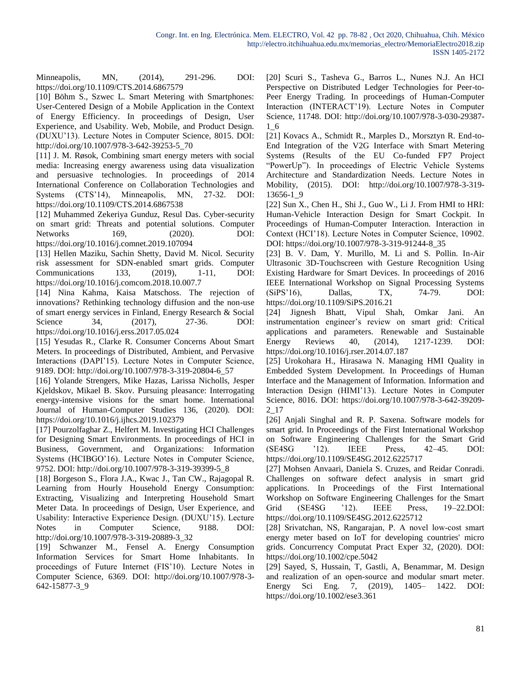Minneapolis, MN, (2014), 291-296. DOI: https://doi.org/10.1109/CTS.2014.6867579

[10] Böhm S., Szwec L. Smart Metering with Smartphones: User-Centered Design of a Mobile Application in the Context of Energy Efficiency. In proceedings of Design, User Experience, and Usability. Web, Mobile, and Product Design. (DUXU'13). Lecture Notes in Computer Science, 8015. DOI: http://doi.org/10.1007/978-3-642-39253-5\_70

[11] J. M. Røsok, Combining smart energy meters with social media: Increasing energy awareness using data visualization and persuasive technologies. In proceedings of 2014 International Conference on Collaboration Technologies and Systems (CTS'14), Minneapolis, MN, 27-32. DOI: https://doi.org/10.1109/CTS.2014.6867538

[12] Muhammed Zekeriya Gunduz, Resul Das. Cyber-security on smart grid: Threats and potential solutions. Computer Networks 169, (2020). DOI: https://doi.org/10.1016/j.comnet.2019.107094

[13] Hellen Maziku, Sachin Shetty, David M. Nicol. Security risk assessment for SDN-enabled smart grids. Computer Communications 133, (2019), 1-11, DOI: https://doi.org/10.1016/j.comcom.2018.10.007.7

[14] Nina Kahma, Kaisa Matschoss. The rejection of innovations? Rethinking technology diffusion and the non-use of smart energy services in Finland, Energy Research & Social Science 34, (2017), 27-36. DOI: https://doi.org/10.1016/j.erss.2017.05.024

[15] Yesudas R., Clarke R. Consumer Concerns About Smart Meters. In proceedings of Distributed, Ambient, and Pervasive Interactions (DAPI'15). Lecture Notes in Computer Science, 9189. DOI: http://doi.org/10.1007/978-3-319-20804-6\_57

[16] Yolande Strengers, Mike Hazas, Larissa Nicholls, Jesper Kjeldskov, Mikael B. Skov. Pursuing pleasance: Interrogating energy-intensive visions for the smart home. International Journal of Human-Computer Studies 136, (2020). DOI: https://doi.org/10.1016/j.ijhcs.2019.102379

[17] Pourzolfaghar Z., Helfert M. Investigating HCI Challenges for Designing Smart Environments. In proceedings of HCI in Business, Government, and Organizations: Information Systems (HCIBGO'16). Lecture Notes in Computer Science, 9752. DOI: http://doi.org/10.1007/978-3-319-39399-5\_8

[18] Borgeson S., Flora J.A., Kwac J., Tan CW., Rajagopal R. Learning from Hourly Household Energy Consumption: Extracting, Visualizing and Interpreting Household Smart Meter Data. In proceedings of Design, User Experience, and Usability: Interactive Experience Design. (DUXU'15). Lecture Notes in Computer Science, 9188. DOI: http://doi.org/10.1007/978-3-319-20889-3\_32

[19] Schwanzer M., Fensel A. Energy Consumption Information Services for Smart Home Inhabitants. In proceedings of Future Internet (FIS'10). Lecture Notes in Computer Science, 6369. DOI: http://doi.org/10.1007/978-3- 642-15877-3\_9

[20] Scuri S., Tasheva G., Barros L., Nunes N.J. An HCI Perspective on Distributed Ledger Technologies for Peer-to-Peer Energy Trading. In proceedings of Human-Computer Interaction (INTERACT'19). Lecture Notes in Computer Science, 11748. DOI: http://doi.org/10.1007/978-3-030-29387- 1\_6

[21] Kovacs A., Schmidt R., Marples D., Morsztyn R. End-to-End Integration of the V2G Interface with Smart Metering Systems (Results of the EU Co-funded FP7 Project "PowerUp"). In proceedings of Electric Vehicle Systems Architecture and Standardization Needs. Lecture Notes in Mobility, (2015). DOI: http://doi.org/10.1007/978-3-319- 13656-1\_9

[22] Sun X., Chen H., Shi J., Guo W., Li J. From HMI to HRI: Human-Vehicle Interaction Design for Smart Cockpit. In Proceedings of Human-Computer Interaction. Interaction in Context (HCI'18). Lecture Notes in Computer Science, 10902. DOI: https://doi.org/10.1007/978-3-319-91244-8\_35

[23] B. V. Dam, Y. Murillo, M. Li and S. Pollin. In-Air Ultrasonic 3D-Touchscreen with Gesture Recognition Using Existing Hardware for Smart Devices. In proceedings of 2016 IEEE International Workshop on Signal Processing Systems (SiPS'16), Dallas, TX, 74-79. DOI: https://doi.org/10.1109/SiPS.2016.21

[24] Jignesh Bhatt, Vipul Shah, Omkar Jani. An instrumentation engineer's review on smart grid: Critical applications and parameters. Renewable and Sustainable Energy Reviews 40, (2014), 1217-1239. DOI: https://doi.org/10.1016/j.rser.2014.07.187

[25] Urokohara H., Hirasawa N. Managing HMI Quality in Embedded System Development. In Proceedings of Human Interface and the Management of Information. Information and Interaction Design (HIMI'13). Lecture Notes in Computer Science, 8016. DOI: https://doi.org/10.1007/978-3-642-39209- 2\_17

[26] Anjali Singhal and R. P. Saxena. Software models for smart grid. In Proceedings of the First International Workshop on Software Engineering Challenges for the Smart Grid (SE4SG '12). IEEE Press, 42–45. DOI: https://doi.org/10.1109/SE4SG.2012.6225717

[27] Mohsen Anvaari, Daniela S. Cruzes, and Reidar Conradi. Challenges on software defect analysis in smart grid applications. In Proceedings of the First International Workshop on Software Engineering Challenges for the Smart Grid (SE4SG '12). IEEE Press, 19–22.DOI: https://doi.org/10.1109/SE4SG.2012.6225712

[28] Srivatchan, NS, Rangarajan, P. A novel low-cost smart energy meter based on IoT for developing countries' micro grids. Concurrency Computat Pract Exper 32, (2020). DOI: https://doi.org/10.1002/cpe.5042

[29] Sayed, S, Hussain, T, Gastli, A, Benammar, M. Design and realization of an open‐source and modular smart meter. Energy Sci Eng. 7, (2019), 1405– 1422. DOI: https://doi.org/10.1002/ese3.361